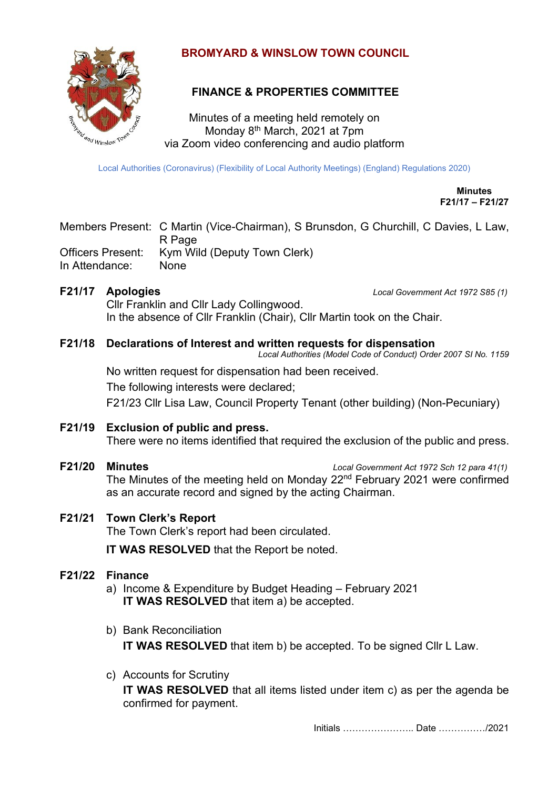

## **BROMYARD & WINSLOW TOWN COUNCIL**

# **FINANCE & PROPERTIES COMMITTEE**

Minutes of a meeting held remotely on Monday 8<sup>th</sup> March, 2021 at 7pm via Zoom video conferencing and audio platform

Local Authorities (Coronavirus) (Flexibility of Local Authority Meetings) (England) Regulations 2020)

**Minutes F21/17 – F21/27**

Members Present: C Martin (Vice-Chairman), S Brunsdon, G Churchill, C Davies, L Law, R Page Officers Present: Kym Wild (Deputy Town Clerk) In Attendance: None

**F21/17 Apologies** *Local Government Act 1972 S85 (1)*

Cllr Franklin and Cllr Lady Collingwood. In the absence of Cllr Franklin (Chair), Cllr Martin took on the Chair.

## **F21/18 Declarations of Interest and written requests for dispensation**

*Local Authorities (Model Code of Conduct) Order 2007 SI No. 1159*

No written request for dispensation had been received.

The following interests were declared;

F21/23 Cllr Lisa Law, Council Property Tenant (other building) (Non-Pecuniary)

## **F21/19 Exclusion of public and press.**

There were no items identified that required the exclusion of the public and press.

**F21/20 Minutes** *Local Government Act 1972 Sch 12 para 41(1)* The Minutes of the meeting held on Monday  $22<sup>nd</sup>$  February 2021 were confirmed as an accurate record and signed by the acting Chairman.

## **F21/21 Town Clerk's Report**

The Town Clerk's report had been circulated.

**IT WAS RESOLVED** that the Report be noted.

## **F21/22 Finance**

- a) Income & Expenditure by Budget Heading February 2021 **IT WAS RESOLVED** that item a) be accepted.
- b) Bank Reconciliation **IT WAS RESOLVED** that item b) be accepted. To be signed Cllr L Law.
- c) Accounts for Scrutiny **IT WAS RESOLVED** that all items listed under item c) as per the agenda be confirmed for payment.

Initials ………………….. Date ……………/2021